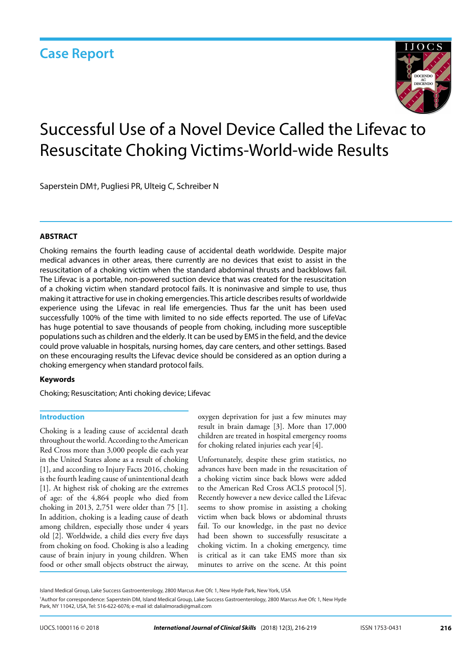

# Successful Use of a Novel Device Called the Lifevac to Resuscitate Choking Victims-World-wide Results

Saperstein DM†, Pugliesi PR, Ulteig C, Schreiber N

#### **ABSTRACT**

Choking remains the fourth leading cause of accidental death worldwide. Despite major medical advances in other areas, there currently are no devices that exist to assist in the resuscitation of a choking victim when the standard abdominal thrusts and backblows fail. The Lifevac is a portable, non-powered suction device that was created for the resuscitation of a choking victim when standard protocol fails. It is noninvasive and simple to use, thus making it attractive for use in choking emergencies. This article describes results of worldwide experience using the Lifevac in real life emergencies. Thus far the unit has been used successfully 100% of the time with limited to no side effects reported. The use of LifeVac has huge potential to save thousands of people from choking, including more susceptible populations such as children and the elderly. It can be used by EMS in the field, and the device could prove valuable in hospitals, nursing homes, day care centers, and other settings. Based on these encouraging results the Lifevac device should be considered as an option during a choking emergency when standard protocol fails.

#### **Keywords**

Choking; Resuscitation; Anti choking device; Lifevac

#### **Introduction**

Choking is a leading cause of accidental death throughout the world. According to the American Red Cross more than 3,000 people die each year in the United States alone as a result of choking [1], and according to Injury Facts 2016, choking is the fourth leading cause of unintentional death [1]. At highest risk of choking are the extremes of age: of the 4,864 people who died from choking in 2013, 2,751 were older than 75 [1]. In addition, choking is a leading cause of death among children, especially those under 4 years old [2]. Worldwide, a child dies every five days from choking on food. Choking is also a leading cause of brain injury in young children. When food or other small objects obstruct the airway,

oxygen deprivation for just a few minutes may result in brain damage [3]. More than 17,000 children are treated in hospital emergency rooms for choking related injuries each year[4].

Unfortunately, despite these grim statistics, no advances have been made in the resuscitation of a choking victim since back blows were added to the American Red Cross ACLS protocol [5]. Recently however a new device called the Lifevac seems to show promise in assisting a choking victim when back blows or abdominal thrusts fail. To our knowledge, in the past no device had been shown to successfully resuscitate a choking victim. In a choking emergency, time is critical as it can take EMS more than six minutes to arrive on the scene. At this point

† Author for correspondence: Saperstein DM, Island Medical Group, Lake Success Gastroenterology, 2800 Marcus Ave Ofc 1, New Hyde Park, NY 11042, USA, Tel: 516-622-6076; e-mail id: dalialmoradi@gmail.com

Island Medical Group, Lake Success Gastroenterology, 2800 Marcus Ave Ofc 1, New Hyde Park, New York, USA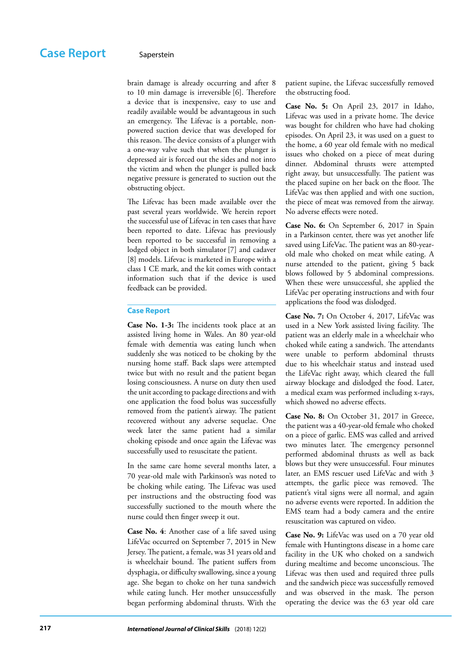brain damage is already occurring and after 8 to 10 min damage is irreversible [6]. Therefore a device that is inexpensive, easy to use and readily available would be advantageous in such an emergency. The Lifevac is a portable, nonpowered suction device that was developed for this reason. The device consists of a plunger with a one-way valve such that when the plunger is depressed air is forced out the sides and not into the victim and when the plunger is pulled back negative pressure is generated to suction out the obstructing object.

The Lifevac has been made available over the past several years worldwide. We herein report the successful use of Lifevac in ten cases that have been reported to date. Lifevac has previously been reported to be successful in removing a lodged object in both simulator [7] and cadaver [8] models. Lifevac is marketed in Europe with a class 1 CE mark, and the kit comes with contact information such that if the device is used feedback can be provided.

#### **Case Report**

**Case No. 1-3:** The incidents took place at an assisted living home in Wales. An 80 year-old female with dementia was eating lunch when suddenly she was noticed to be choking by the nursing home staff. Back slaps were attempted twice but with no result and the patient began losing consciousness. A nurse on duty then used the unit according to package directions and with one application the food bolus was successfully removed from the patient's airway. The patient recovered without any adverse sequelae. One week later the same patient had a similar choking episode and once again the Lifevac was successfully used to resuscitate the patient.

In the same care home several months later, a 70 year-old male with Parkinson's was noted to be choking while eating. The Lifevac was used per instructions and the obstructing food was successfully suctioned to the mouth where the nurse could then finger sweep it out.

**Case No. 4**: Another case of a life saved using LifeVac occurred on September 7, 2015 in New Jersey. The patient, a female, was 31 years old and is wheelchair bound. The patient suffers from dysphagia, or difficulty swallowing, since a young age. She began to choke on her tuna sandwich while eating lunch. Her mother unsuccessfully began performing abdominal thrusts. With the

patient supine, the Lifevac successfully removed the obstructing food.

**Case No. 5:** On April 23, 2017 in Idaho, Lifevac was used in a private home. The device was bought for children who have had choking episodes. On April 23, it was used on a guest to the home, a 60 year old female with no medical issues who choked on a piece of meat during dinner. Abdominal thrusts were attempted right away, but unsuccessfully. The patient was the placed supine on her back on the floor. The LifeVac was then applied and with one suction, the piece of meat was removed from the airway. No adverse effects were noted.

**Case No. 6:** On September 6, 2017 in Spain in a Parkinson center, there was yet another life saved using LifeVac. The patient was an 80-yearold male who choked on meat while eating. A nurse attended to the patient, giving 5 back blows followed by 5 abdominal compressions. When these were unsuccessful, she applied the LifeVac per operating instructions and with four applications the food was dislodged.

**Case No. 7:** On October 4, 2017, LifeVac was used in a New York assisted living facility. The patient was an elderly male in a wheelchair who choked while eating a sandwich. The attendants were unable to perform abdominal thrusts due to his wheelchair status and instead used the LifeVac right away, which cleared the full airway blockage and dislodged the food. Later, a medical exam was performed including x-rays, which showed no adverse effects.

**Case No. 8:** On October 31, 2017 in Greece, the patient was a 40-year-old female who choked on a piece of garlic. EMS was called and arrived two minutes later. The emergency personnel performed abdominal thrusts as well as back blows but they were unsuccessful. Four minutes later, an EMS rescuer used LifeVac and with 3 attempts, the garlic piece was removed. The patient's vital signs were all normal, and again no adverse events were reported. In addition the EMS team had a body camera and the entire resuscitation was captured on video.

**Case No. 9:** LifeVac was used on a 70 year old female with Huntingtons disease in a home care facility in the UK who choked on a sandwich during mealtime and become unconscious. The Lifevac was then used and required three pulls and the sandwich piece was successfully removed and was observed in the mask. The person operating the device was the 63 year old care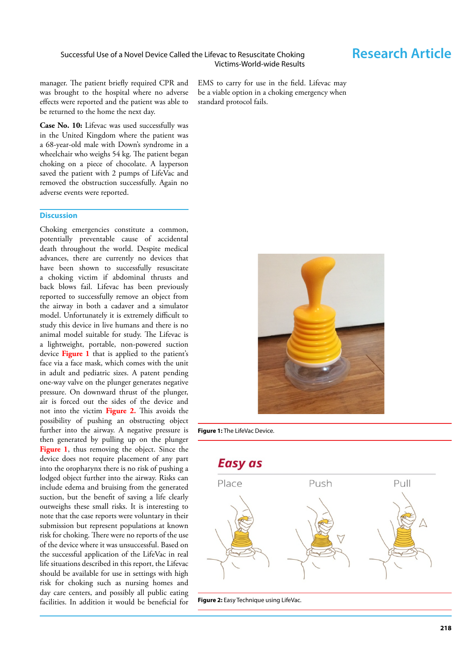manager. The patient briefly required CPR and was brought to the hospital where no adverse effects were reported and the patient was able to be returned to the home the next day.

**Case No. 10:** Lifevac was used successfully was in the United Kingdom where the patient was a 68-year-old male with Down's syndrome in a wheelchair who weighs 54 kg. The patient began choking on a piece of chocolate. A layperson saved the patient with 2 pumps of LifeVac and removed the obstruction successfully. Again no adverse events were reported.

### **Discussion**

Choking emergencies constitute a common, potentially preventable cause of accidental death throughout the world. Despite medical advances, there are currently no devices that have been shown to successfully resuscitate a choking victim if abdominal thrusts and back blows fail. Lifevac has been previously reported to successfully remove an object from the airway in both a cadaver and a simulator model. Unfortunately it is extremely difficult to study this device in live humans and there is no animal model suitable for study. The Lifevac is a lightweight, portable, non-powered suction device **Figure 1** that is applied to the patient's face via a face mask, which comes with the unit in adult and pediatric sizes. A patent pending one-way valve on the plunger generates negative pressure. On downward thrust of the plunger, air is forced out the sides of the device and not into the victim **Figure 2.** This avoids the possibility of pushing an obstructing object further into the airway. A negative pressure is then generated by pulling up on the plunger **Figure 1**, thus removing the object. Since the device does not require placement of any part into the oropharynx there is no risk of pushing a lodged object further into the airway. Risks can include edema and bruising from the generated suction, but the benefit of saving a life clearly outweighs these small risks. It is interesting to note that the case reports were voluntary in their submission but represent populations at known risk for choking. There were no reports of the use of the device where it was unsuccessful. Based on the successful application of the LifeVac in real life situations described in this report, the Lifevac should be available for use in settings with high risk for choking such as nursing homes and day care centers, and possibly all public eating facilities. In addition it would be beneficial for

EMS to carry for use in the field. Lifevac may be a viable option in a choking emergency when standard protocol fails.



**Figure 1:** The LifeVac Device.

**Easy as** 



**Figure 2:** Easy Technique using LifeVac.